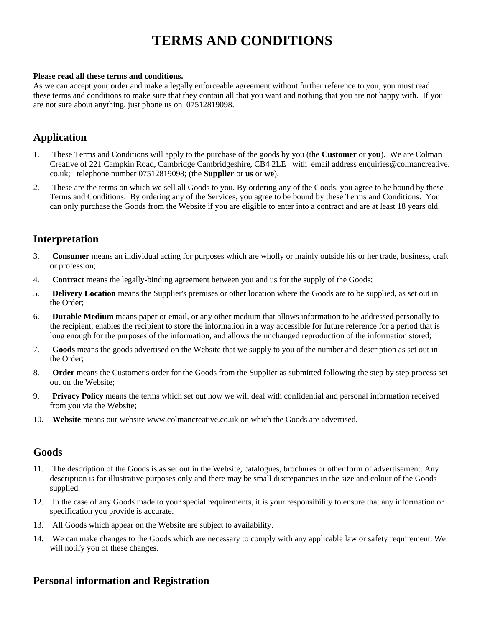# **TERMS AND CONDITIONS**

#### **Please read all these terms and conditions.**

As we can accept your order and make a legally enforceable agreement without further reference to you, you must read these terms and conditions to make sure that they contain all that you want and nothing that you are not happy with. If you are not sure about anything, just phone us on 07512819098.

### **Application**

- 1. These Terms and Conditions will apply to the purchase of the goods by you (the **Customer** or **you**). We are Colman Creative of 221 Campkin Road, Cambridge Cambridgeshire, CB4 2LE with email address enquiries@colmancreative. co.uk; telephone number 07512819098; (the **Supplier** or **us** or **we**).
- 2. These are the terms on which we sell all Goods to you. By ordering any of the Goods, you agree to be bound by these Terms and Conditions. By ordering any of the Services, you agree to be bound by these Terms and Conditions. You can only purchase the Goods from the Website if you are eligible to enter into a contract and are at least 18 years old.

# **Interpretation**

- 3. **Consumer** means an individual acting for purposes which are wholly or mainly outside his or her trade, business, craft or profession;
- 4. **Contract** means the legally-binding agreement between you and us for the supply of the Goods;
- 5. **Delivery Location** means the Supplier's premises or other location where the Goods are to be supplied, as set out in the Order;
- 6. **Durable Medium** means paper or email, or any other medium that allows information to be addressed personally to the recipient, enables the recipient to store the information in a way accessible for future reference for a period that is long enough for the purposes of the information, and allows the unchanged reproduction of the information stored;
- 7. **Goods** means the goods advertised on the Website that we supply to you of the number and description as set out in the Order;
- 8. **Order** means the Customer's order for the Goods from the Supplier as submitted following the step by step process set out on the Website;
- 9. **Privacy Policy** means the terms which set out how we will deal with confidential and personal information received from you via the Website;
- 10. **Website** means our website www.colmancreative.co.uk on which the Goods are advertised.

### **Goods**

- 11. The description of the Goods is as set out in the Website, catalogues, brochures or other form of advertisement. Any description is for illustrative purposes only and there may be small discrepancies in the size and colour of the Goods supplied.
- 12. In the case of any Goods made to your special requirements, it is your responsibility to ensure that any information or specification you provide is accurate.
- 13. All Goods which appear on the Website are subject to availability.
- 14. We can make changes to the Goods which are necessary to comply with any applicable law or safety requirement. We will notify you of these changes.

### **Personal information and Registration**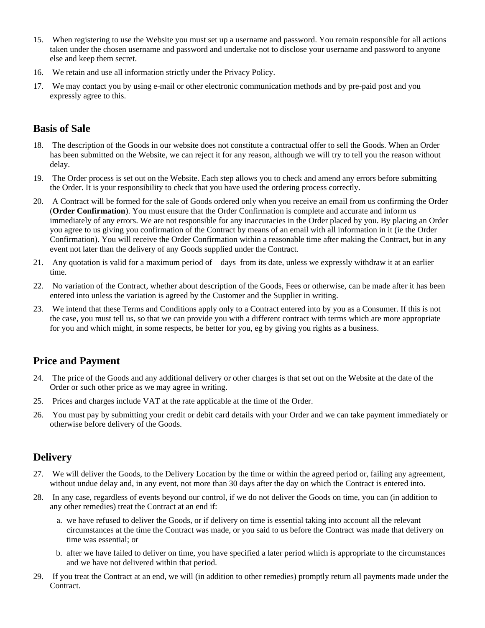- 15. When registering to use the Website you must set up a username and password. You remain responsible for all actions taken under the chosen username and password and undertake not to disclose your username and password to anyone else and keep them secret.
- 16. We retain and use all information strictly under the Privacy Policy.
- 17. We may contact you by using e-mail or other electronic communication methods and by pre-paid post and you expressly agree to this.

# **Basis of Sale**

- 18. The description of the Goods in our website does not constitute a contractual offer to sell the Goods. When an Order has been submitted on the Website, we can reject it for any reason, although we will try to tell you the reason without delay.
- 19. The Order process is set out on the Website. Each step allows you to check and amend any errors before submitting the Order. It is your responsibility to check that you have used the ordering process correctly.
- 20. A Contract will be formed for the sale of Goods ordered only when you receive an email from us confirming the Order (**Order Confirmation**). You must ensure that the Order Confirmation is complete and accurate and inform us immediately of any errors. We are not responsible for any inaccuracies in the Order placed by you. By placing an Order you agree to us giving you confirmation of the Contract by means of an email with all information in it (ie the Order Confirmation). You will receive the Order Confirmation within a reasonable time after making the Contract, but in any event not later than the delivery of any Goods supplied under the Contract.
- 21. Any quotation is valid for a maximum period of days from its date, unless we expressly withdraw it at an earlier time.
- 22. No variation of the Contract, whether about description of the Goods, Fees or otherwise, can be made after it has been entered into unless the variation is agreed by the Customer and the Supplier in writing.
- 23. We intend that these Terms and Conditions apply only to a Contract entered into by you as a Consumer. If this is not the case, you must tell us, so that we can provide you with a different contract with terms which are more appropriate for you and which might, in some respects, be better for you, eg by giving you rights as a business.

# **Price and Payment**

- 24. The price of the Goods and any additional delivery or other charges is that set out on the Website at the date of the Order or such other price as we may agree in writing.
- 25. Prices and charges include VAT at the rate applicable at the time of the Order.
- 26. You must pay by submitting your credit or debit card details with your Order and we can take payment immediately or otherwise before delivery of the Goods.

# **Delivery**

- 27. We will deliver the Goods, to the Delivery Location by the time or within the agreed period or, failing any agreement, without undue delay and, in any event, not more than 30 days after the day on which the Contract is entered into.
- 28. In any case, regardless of events beyond our control, if we do not deliver the Goods on time, you can (in addition to any other remedies) treat the Contract at an end if:
	- a. we have refused to deliver the Goods, or if delivery on time is essential taking into account all the relevant circumstances at the time the Contract was made, or you said to us before the Contract was made that delivery on time was essential; or
	- b. after we have failed to deliver on time, you have specified a later period which is appropriate to the circumstances and we have not delivered within that period.
- 29. If you treat the Contract at an end, we will (in addition to other remedies) promptly return all payments made under the Contract.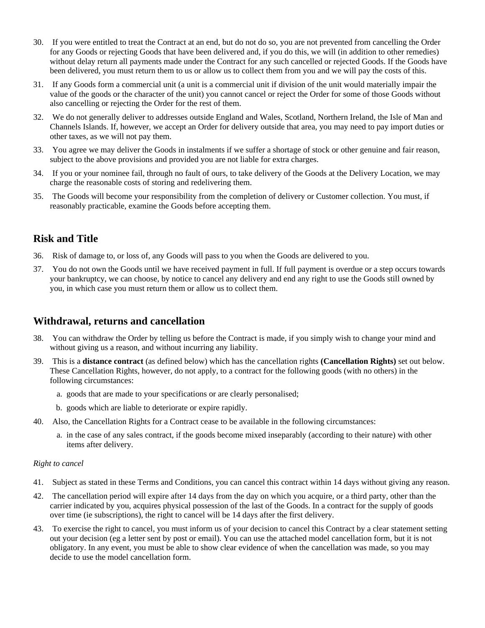- 30. If you were entitled to treat the Contract at an end, but do not do so, you are not prevented from cancelling the Order for any Goods or rejecting Goods that have been delivered and, if you do this, we will (in addition to other remedies) without delay return all payments made under the Contract for any such cancelled or rejected Goods. If the Goods have been delivered, you must return them to us or allow us to collect them from you and we will pay the costs of this.
- 31. If any Goods form a commercial unit (a unit is a commercial unit if division of the unit would materially impair the value of the goods or the character of the unit) you cannot cancel or reject the Order for some of those Goods without also cancelling or rejecting the Order for the rest of them.
- 32. We do not generally deliver to addresses outside England and Wales, Scotland, Northern Ireland, the Isle of Man and Channels Islands. If, however, we accept an Order for delivery outside that area, you may need to pay import duties or other taxes, as we will not pay them.
- 33. You agree we may deliver the Goods in instalments if we suffer a shortage of stock or other genuine and fair reason, subject to the above provisions and provided you are not liable for extra charges.
- 34. If you or your nominee fail, through no fault of ours, to take delivery of the Goods at the Delivery Location, we may charge the reasonable costs of storing and redelivering them.
- 35. The Goods will become your responsibility from the completion of delivery or Customer collection. You must, if reasonably practicable, examine the Goods before accepting them.

# **Risk and Title**

- 36. Risk of damage to, or loss of, any Goods will pass to you when the Goods are delivered to you.
- 37. You do not own the Goods until we have received payment in full. If full payment is overdue or a step occurs towards your bankruptcy, we can choose, by notice to cancel any delivery and end any right to use the Goods still owned by you, in which case you must return them or allow us to collect them.

# **Withdrawal, returns and cancellation**

- 38. You can withdraw the Order by telling us before the Contract is made, if you simply wish to change your mind and without giving us a reason, and without incurring any liability.
- 39. This is a **distance contract** (as defined below) which has the cancellation rights **(Cancellation Rights)** set out below. These Cancellation Rights, however, do not apply, to a contract for the following goods (with no others) in the following circumstances:
	- a. goods that are made to your specifications or are clearly personalised;
	- b. goods which are liable to deteriorate or expire rapidly.
- 40. Also, the Cancellation Rights for a Contract cease to be available in the following circumstances:
	- a. in the case of any sales contract, if the goods become mixed inseparably (according to their nature) with other items after delivery.

#### *Right to cancel*

- 41. Subject as stated in these Terms and Conditions, you can cancel this contract within 14 days without giving any reason.
- 42. The cancellation period will expire after 14 days from the day on which you acquire, or a third party, other than the carrier indicated by you, acquires physical possession of the last of the Goods. In a contract for the supply of goods over time (ie subscriptions), the right to cancel will be 14 days after the first delivery.
- 43. To exercise the right to cancel, you must inform us of your decision to cancel this Contract by a clear statement setting out your decision (eg a letter sent by post or email). You can use the attached model cancellation form, but it is not obligatory. In any event, you must be able to show clear evidence of when the cancellation was made, so you may decide to use the model cancellation form.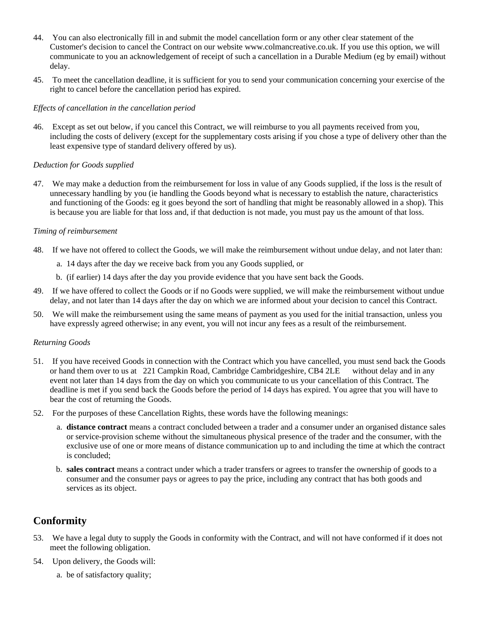- 44. You can also electronically fill in and submit the model cancellation form or any other clear statement of the Customer's decision to cancel the Contract on our website www.colmancreative.co.uk. If you use this option, we will communicate to you an acknowledgement of receipt of such a cancellation in a Durable Medium (eg by email) without delay.
- 45. To meet the cancellation deadline, it is sufficient for you to send your communication concerning your exercise of the right to cancel before the cancellation period has expired.

#### *Effects of cancellation in the cancellation period*

46. Except as set out below, if you cancel this Contract, we will reimburse to you all payments received from you, including the costs of delivery (except for the supplementary costs arising if you chose a type of delivery other than the least expensive type of standard delivery offered by us).

#### *Deduction for Goods supplied*

47. We may make a deduction from the reimbursement for loss in value of any Goods supplied, if the loss is the result of unnecessary handling by you (ie handling the Goods beyond what is necessary to establish the nature, characteristics and functioning of the Goods: eg it goes beyond the sort of handling that might be reasonably allowed in a shop). This is because you are liable for that loss and, if that deduction is not made, you must pay us the amount of that loss.

#### *Timing of reimbursement*

- 48. If we have not offered to collect the Goods, we will make the reimbursement without undue delay, and not later than:
	- a. 14 days after the day we receive back from you any Goods supplied, or
	- b. (if earlier) 14 days after the day you provide evidence that you have sent back the Goods.
- 49. If we have offered to collect the Goods or if no Goods were supplied, we will make the reimbursement without undue delay, and not later than 14 days after the day on which we are informed about your decision to cancel this Contract.
- 50. We will make the reimbursement using the same means of payment as you used for the initial transaction, unless you have expressly agreed otherwise; in any event, you will not incur any fees as a result of the reimbursement.

#### *Returning Goods*

- 51. If you have received Goods in connection with the Contract which you have cancelled, you must send back the Goods or hand them over to us at 221 Campkin Road, Cambridge Cambridgeshire, CB4 2LE without delay and in any event not later than 14 days from the day on which you communicate to us your cancellation of this Contract. The deadline is met if you send back the Goods before the period of 14 days has expired. You agree that you will have to bear the cost of returning the Goods.
- 52. For the purposes of these Cancellation Rights, these words have the following meanings:
	- a. **distance contract** means a contract concluded between a trader and a consumer under an organised distance sales or service-provision scheme without the simultaneous physical presence of the trader and the consumer, with the exclusive use of one or more means of distance communication up to and including the time at which the contract is concluded;
	- b. **sales contract** means a contract under which a trader transfers or agrees to transfer the ownership of goods to a consumer and the consumer pays or agrees to pay the price, including any contract that has both goods and services as its object.

# **Conformity**

- 53. We have a legal duty to supply the Goods in conformity with the Contract, and will not have conformed if it does not meet the following obligation.
- 54. Upon delivery, the Goods will:
	- a. be of satisfactory quality;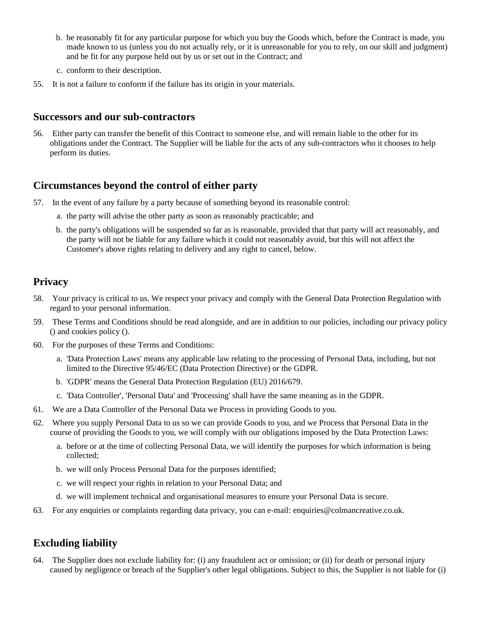- b. be reasonably fit for any particular purpose for which you buy the Goods which, before the Contract is made, you made known to us (unless you do not actually rely, or it is unreasonable for you to rely, on our skill and judgment) and be fit for any purpose held out by us or set out in the Contract; and
- c. conform to their description.
- 55. It is not a failure to conform if the failure has its origin in your materials.

### **Successors and our sub-contractors**

56. Either party can transfer the benefit of this Contract to someone else, and will remain liable to the other for its obligations under the Contract. The Supplier will be liable for the acts of any sub-contractors who it chooses to help perform its duties.

### **Circumstances beyond the control of either party**

- 57. In the event of any failure by a party because of something beyond its reasonable control:
	- a. the party will advise the other party as soon as reasonably practicable; and
	- b. the party's obligations will be suspended so far as is reasonable, provided that that party will act reasonably, and the party will not be liable for any failure which it could not reasonably avoid, but this will not affect the Customer's above rights relating to delivery and any right to cancel, below.

# **Privacy**

- 58. Your privacy is critical to us. We respect your privacy and comply with the General Data Protection Regulation with regard to your personal information.
- 59. These Terms and Conditions should be read alongside, and are in addition to our policies, including our privacy policy () and cookies policy ().
- 60. For the purposes of these Terms and Conditions:
	- a. 'Data Protection Laws' means any applicable law relating to the processing of Personal Data, including, but not limited to the Directive 95/46/EC (Data Protection Directive) or the GDPR.
	- b. 'GDPR' means the General Data Protection Regulation (EU) 2016/679.
	- c. 'Data Controller', 'Personal Data' and 'Processing' shall have the same meaning as in the GDPR.
- 61. We are a Data Controller of the Personal Data we Process in providing Goods to you.
- 62. Where you supply Personal Data to us so we can provide Goods to you, and we Process that Personal Data in the course of providing the Goods to you, we will comply with our obligations imposed by the Data Protection Laws:
	- a. before or at the time of collecting Personal Data, we will identify the purposes for which information is being collected;
	- b. we will only Process Personal Data for the purposes identified;
	- c. we will respect your rights in relation to your Personal Data; and
	- d. we will implement technical and organisational measures to ensure your Personal Data is secure.
- 63. For any enquiries or complaints regarding data privacy, you can e-mail: enquiries@colmancreative.co.uk.

# **Excluding liability**

64. The Supplier does not exclude liability for: (i) any fraudulent act or omission; or (ii) for death or personal injury caused by negligence or breach of the Supplier's other legal obligations. Subject to this, the Supplier is not liable for (i)